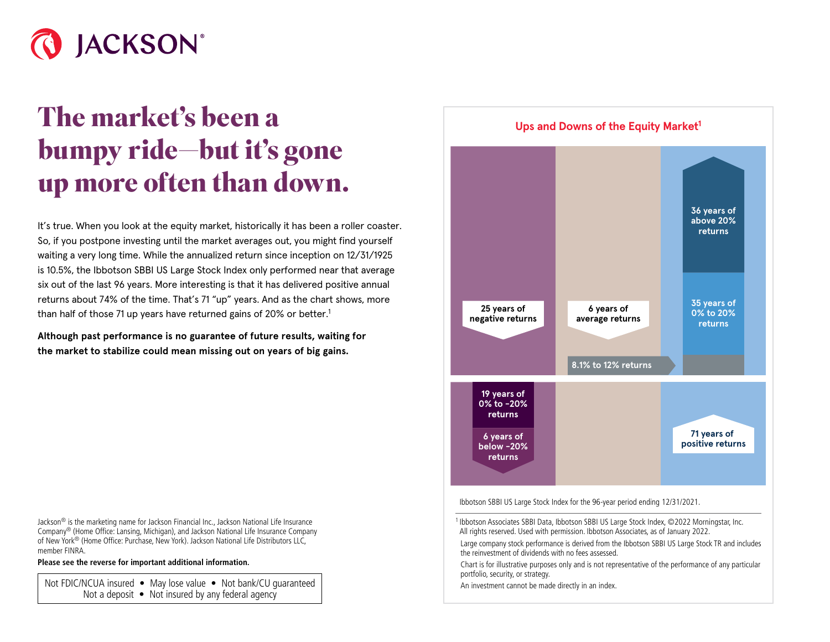

## **The market's been a bumpy ride—but it's gone up more often than down.**

It's true. When you look at the equity market, historically it has been a roller coaster. So, if you postpone investing until the market averages out, you might find yourself waiting a very long time. While the annualized return since inception on 12/31/1925 is 10.5%, the Ibbotson SBBI US Large Stock Index only performed near that average six out of the last 96 years. More interesting is that it has delivered positive annual returns about 74% of the time. That's 71 "up" years. And as the chart shows, more than half of those 71 up years have returned gains of 20% or better.<sup>1</sup>

**Although past performance is no guarantee of future results, waiting for the market to stabilize could mean missing out on years of big gains.**

Jackson® is the marketing name for Jackson Financial Inc., Jackson National Life Insurance Company® (Home Office: Lansing, Michigan), and Jackson National Life Insurance Company of New York® (Home Office: Purchase, New York). Jackson National Life Distributors LLC, member FINRA.

**Please see the reverse for important additional information.**

Not FDIC/NCUA insured • May lose value • Not bank/CU quaranteed Not a deposit  $\bullet$  Not insured by any federal agency



Ibbotson SBBI US Large Stock Index for the 96-year period ending 12/31/2021.

<sup>1</sup> Ibbotson Associates SBBI Data, Ibbotson SBBI US Large Stock Index, ©2022 Morningstar, Inc. All rights reserved. Used with permission. Ibbotson Associates, as of January 2022.

Large company stock performance is derived from the Ibbotson SBBI US Large Stock TR and includes the reinvestment of dividends with no fees assessed.

Chart is for illustrative purposes only and is not representative of the performance of any particular portfolio, security, or strategy.

An investment cannot be made directly in an index.